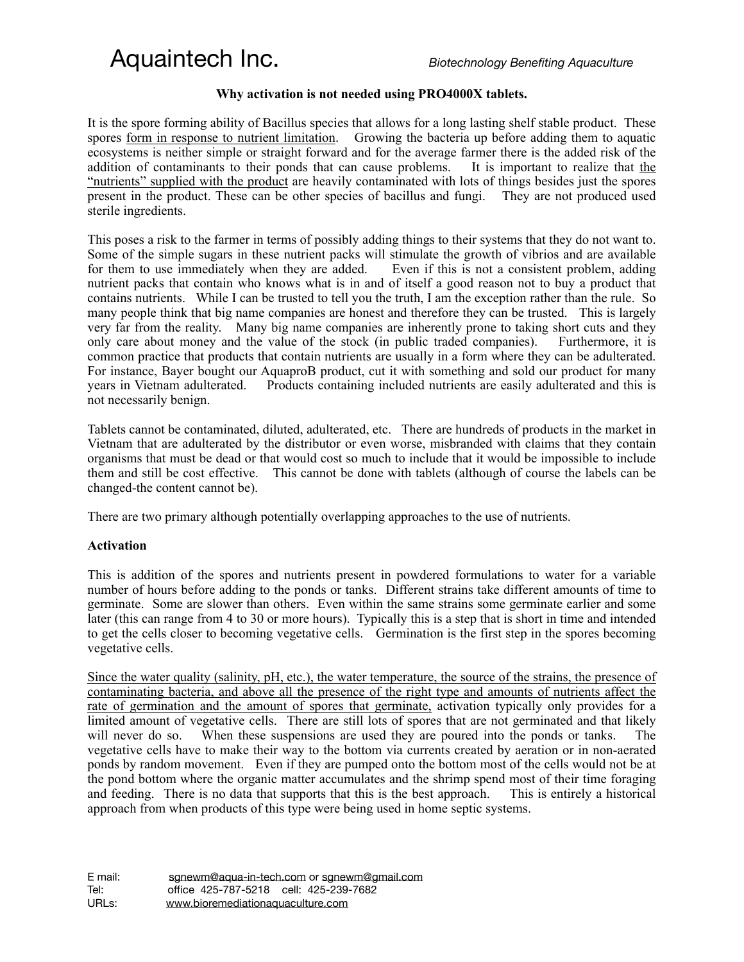### Aquaintech Inc. *Biotechnology Benefiting Aquaculture*

### **Why activation is not needed using PRO4000X tablets.**

It is the spore forming ability of Bacillus species that allows for a long lasting shelf stable product. These spores form in response to nutrient limitation. Growing the bacteria up before adding them to aquatic ecosystems is neither simple or straight forward and for the average farmer there is the added risk of the addition of contaminants to their ponds that can cause problems. It is important to realize that the "nutrients" supplied with the product are heavily contaminated with lots of things besides just the spores present in the product. These can be other species of bacillus and fungi. They are not produced used sterile ingredients.

This poses a risk to the farmer in terms of possibly adding things to their systems that they do not want to. Some of the simple sugars in these nutrient packs will stimulate the growth of vibrios and are available for them to use immediately when they are added. Even if this is not a consistent problem, adding nutrient packs that contain who knows what is in and of itself a good reason not to buy a product that contains nutrients. While I can be trusted to tell you the truth, I am the exception rather than the rule. So many people think that big name companies are honest and therefore they can be trusted. This is largely very far from the reality. Many big name companies are inherently prone to taking short cuts and they only care about money and the value of the stock (in public traded companies). Furthermore, it is common practice that products that contain nutrients are usually in a form where they can be adulterated. For instance, Bayer bought our AquaproB product, cut it with something and sold our product for many years in Vietnam adulterated. Products containing included nutrients are easily adulterated and this is not necessarily benign.

Tablets cannot be contaminated, diluted, adulterated, etc. There are hundreds of products in the market in Vietnam that are adulterated by the distributor or even worse, misbranded with claims that they contain organisms that must be dead or that would cost so much to include that it would be impossible to include them and still be cost effective. This cannot be done with tablets (although of course the labels can be changed-the content cannot be).

There are two primary although potentially overlapping approaches to the use of nutrients.

### **Activation**

This is addition of the spores and nutrients present in powdered formulations to water for a variable number of hours before adding to the ponds or tanks. Different strains take different amounts of time to germinate. Some are slower than others. Even within the same strains some germinate earlier and some later (this can range from 4 to 30 or more hours). Typically this is a step that is short in time and intended to get the cells closer to becoming vegetative cells. Germination is the first step in the spores becoming vegetative cells.

Since the water quality (salinity, pH, etc.), the water temperature, the source of the strains, the presence of contaminating bacteria, and above all the presence of the right type and amounts of nutrients affect the rate of germination and the amount of spores that germinate, activation typically only provides for a limited amount of vegetative cells. There are still lots of spores that are not germinated and that likely will never do so. When these suspensions are used they are poured into the ponds or tanks. The vegetative cells have to make their way to the bottom via currents created by aeration or in non-aerated ponds by random movement. Even if they are pumped onto the bottom most of the cells would not be at the pond bottom where the organic matter accumulates and the shrimp spend most of their time foraging and feeding. There is no data that supports that this is the best approach. This is entirely a historical approach from when products of this type were being used in home septic systems.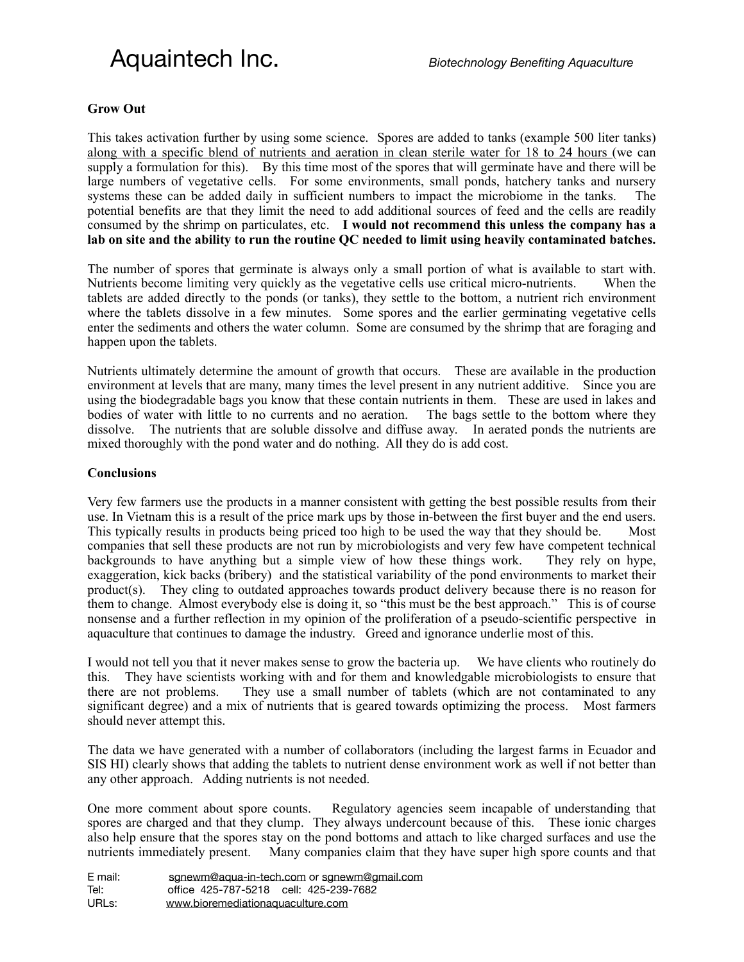# Aquaintech Inc. *Biotechnology Benefiting Aquaculture*

#### **Grow Out**

This takes activation further by using some science. Spores are added to tanks (example 500 liter tanks) along with a specific blend of nutrients and aeration in clean sterile water for 18 to 24 hours (we can supply a formulation for this). By this time most of the spores that will germinate have and there will be large numbers of vegetative cells. For some environments, small ponds, hatchery tanks and nursery systems these can be added daily in sufficient numbers to impact the microbiome in the tanks. potential benefits are that they limit the need to add additional sources of feed and the cells are readily consumed by the shrimp on particulates, etc. **I would not recommend this unless the company has a lab on site and the ability to run the routine QC needed to limit using heavily contaminated batches.** 

The number of spores that germinate is always only a small portion of what is available to start with. Nutrients become limiting very quickly as the vegetative cells use critical micro-nutrients. When the tablets are added directly to the ponds (or tanks), they settle to the bottom, a nutrient rich environment where the tablets dissolve in a few minutes. Some spores and the earlier germinating vegetative cells enter the sediments and others the water column. Some are consumed by the shrimp that are foraging and happen upon the tablets.

Nutrients ultimately determine the amount of growth that occurs. These are available in the production environment at levels that are many, many times the level present in any nutrient additive. Since you are using the biodegradable bags you know that these contain nutrients in them. These are used in lakes and bodies of water with little to no currents and no aeration. The bags settle to the bottom where they dissolve. The nutrients that are soluble dissolve and diffuse away. In aerated ponds the nutrients are mixed thoroughly with the pond water and do nothing. All they do is add cost.

### **Conclusions**

Very few farmers use the products in a manner consistent with getting the best possible results from their use. In Vietnam this is a result of the price mark ups by those in-between the first buyer and the end users. This typically results in products being priced too high to be used the way that they should be. Most companies that sell these products are not run by microbiologists and very few have competent technical backgrounds to have anything but a simple view of how these things work. They rely on hype, exaggeration, kick backs (bribery) and the statistical variability of the pond environments to market their product(s). They cling to outdated approaches towards product delivery because there is no reason for them to change. Almost everybody else is doing it, so "this must be the best approach." This is of course nonsense and a further reflection in my opinion of the proliferation of a pseudo-scientific perspective in aquaculture that continues to damage the industry. Greed and ignorance underlie most of this.

I would not tell you that it never makes sense to grow the bacteria up. We have clients who routinely do this. They have scientists working with and for them and knowledgable microbiologists to ensure that there are not problems. They use a small number of tablets (which are not contaminated to any significant degree) and a mix of nutrients that is geared towards optimizing the process. Most farmers should never attempt this.

The data we have generated with a number of collaborators (including the largest farms in Ecuador and SIS HI) clearly shows that adding the tablets to nutrient dense environment work as well if not better than any other approach. Adding nutrients is not needed.

One more comment about spore counts. Regulatory agencies seem incapable of understanding that spores are charged and that they clump. They always undercount because of this. These ionic charges also help ensure that the spores stay on the pond bottoms and attach to like charged surfaces and use the nutrients immediately present. Many companies claim that they have super high spore counts and that

| E mail: | sqnewm@aqua-in-tech.com or sqnewm@qmail.com |
|---------|---------------------------------------------|
| Tel:    | office 425-787-5218 cell: 425-239-7682      |
| URLs:   | www.bioremediationaquaculture.com           |